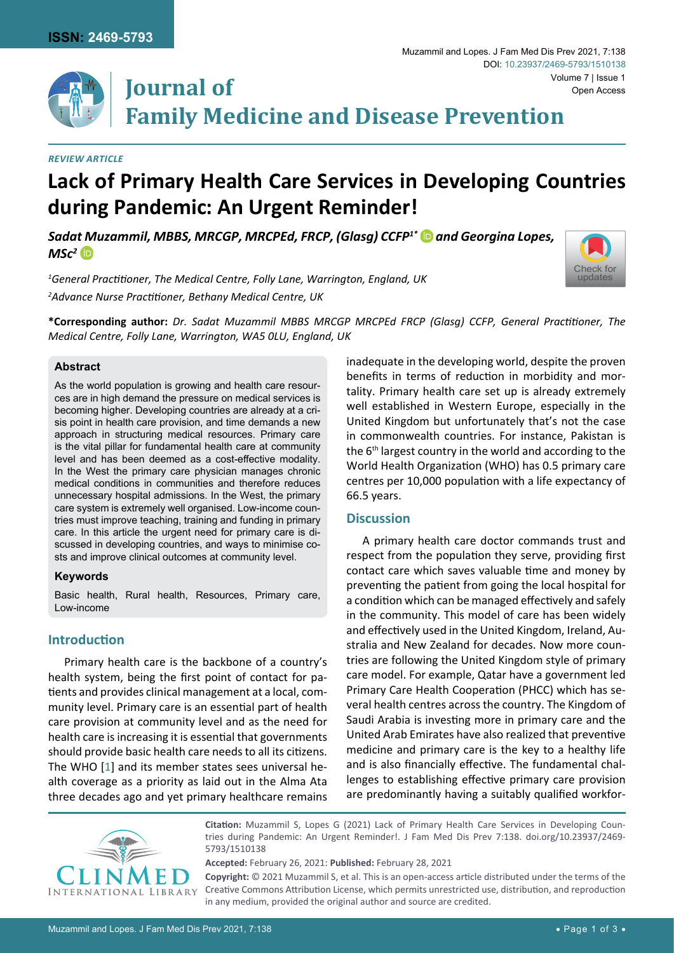

#### *Review Article*

# **Lack of Primary Health Care Services in Developing Countries during Pandemic: An Urgent Reminder!**

*Sada[t M](https://orcid.org/0000-0001-9407-8746)uzammil, MBBS, MRCGP, MRCPEd, FRCP, (Glasg) CCFP1[\\*](https://orcid.org/0000-0002-5368-2098) and Georgina Lopes,*   $MSc<sup>2</sup>$  **D** 

*1 General Practitioner, The Medical Centre, Folly Lane, Warrington, England, UK 2 Advance Nurse Practitioner, Bethany Medical Centre, UK*

**\*Corresponding author:** *Dr. Sadat Muzammil MBBS MRCGP MRCPEd FRCP (Glasg) CCFP, General Practitioner, The Medical Centre, Folly Lane, Warrington, WA5 0LU, England, UK*

#### **Abstract**

As the world population is growing and health care resources are in high demand the pressure on medical services is becoming higher. Developing countries are already at a crisis point in health care provision, and time demands a new approach in structuring medical resources. Primary care is the vital pillar for fundamental health care at community level and has been deemed as a cost-effective modality. In the West the primary care physician manages chronic medical conditions in communities and therefore reduces unnecessary hospital admissions. In the West, the primary care system is extremely well organised. Low-income countries must improve teaching, training and funding in primary care. In this article the urgent need for primary care is discussed in developing countries, and ways to minimise costs and improve clinical outcomes at community level.

#### **Keywords**

Basic health, Rural health, Resources, Primary care, Low-income

## **Introduction**

Primary health care is the backbone of a country's health system, being the first point of contact for patients and provides clinical management at a local, community level. Primary care is an essential part of health care provision at community level and as the need for health care is increasing it is essential that governments should provide basic health care needs to all its citizens. The WHO [[1](#page-2-0)] and its member states sees universal health coverage as a priority as laid out in the Alma Ata three decades ago and yet primary healthcare remains

inadequate in the developing world, despite the proven benefits in terms of reduction in morbidity and mortality. Primary health care set up is already extremely well established in Western Europe, especially in the United Kingdom but unfortunately that's not the case in commonwealth countries. For instance, Pakistan is the 6th largest country in the world and according to the World Health Organization (WHO) has 0.5 primary care centres per 10,000 population with a life expectancy of 66.5 years.

### **Discussion**

A primary health care doctor commands trust and respect from the population they serve, providing first contact care which saves valuable time and money by preventing the patient from going the local hospital for a condition which can be managed effectively and safely in the community. This model of care has been widely and effectively used in the United Kingdom, Ireland, Australia and New Zealand for decades. Now more countries are following the United Kingdom style of primary care model. For example, Qatar have a government led Primary Care Health Cooperation (PHCC) which has several health centres across the country. The Kingdom of Saudi Arabia is investing more in primary care and the United Arab Emirates have also realized that preventive medicine and primary care is the key to a healthy life and is also financially effective. The fundamental challenges to establishing effective primary care provision are predominantly having a suitably qualified workfor-



**Citation:** Muzammil S, Lopes G (2021) Lack of Primary Health Care Services in Developing Countries during Pandemic: An Urgent Reminder!. J Fam Med Dis Prev 7:138. [doi.org/10.23937/2469-](https://doi.org/10.23937/2469-5793/1510138) [5793/1510138](https://doi.org/10.23937/2469-5793/1510138)

**Accepted:** February 26, 2021: **Published:** February 28, 2021

**Copyright:** © 2021 Muzammil S, et al. This is an open-access article distributed under the terms of the Creative Commons Attribution License, which permits unrestricted use, distribution, and reproduction in any medium, provided the original author and source are credited.

[Check for](http://crossmark.crossref.org/dialog/?doi=10.23937/2469-5793/1510138&domain=pdf) updates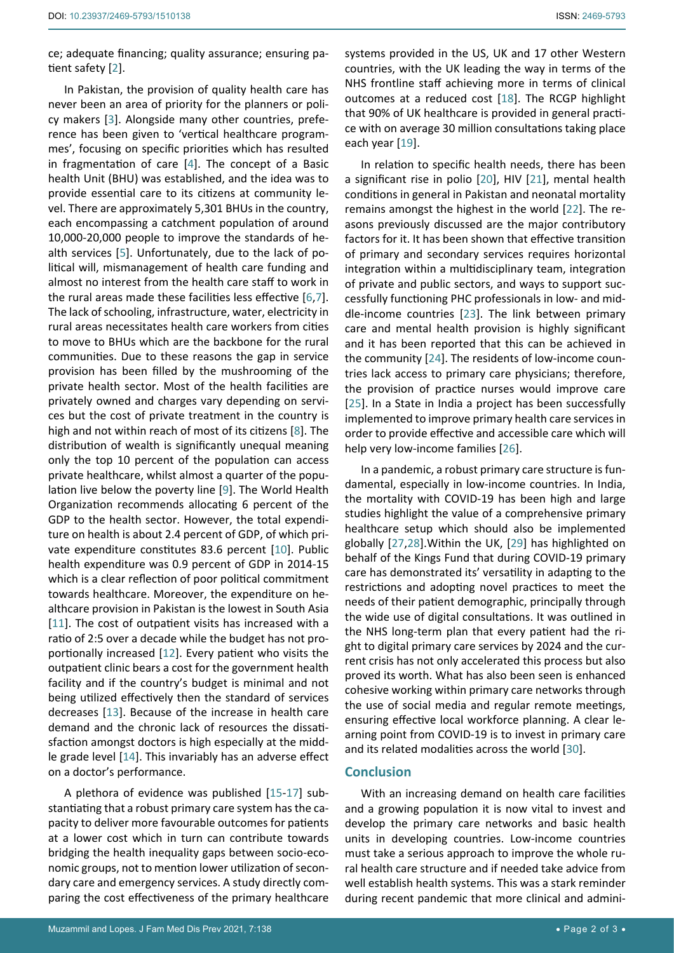ce; adequate financing; quality assurance; ensuring patient safety [[2\]](#page-2-1).

In Pakistan, the provision of quality health care has never been an area of priority for the planners or policy makers [[3](#page-2-2)]. Alongside many other countries, preference has been given to 'vertical healthcare programmes', focusing on specific priorities which has resulted in fragmentation of care [[4](#page-2-3)]. The concept of a Basic health Unit (BHU) was established, and the idea was to provide essential care to its citizens at community level. There are approximately 5,301 BHUs in the country, each encompassing a catchment population of around 10,000-20,000 people to improve the standards of health services [[5](#page-2-4)]. Unfortunately, due to the lack of political will, mismanagement of health care funding and almost no interest from the health care staff to work in the rural areas made these facilities less effective [[6](#page-2-5),[7](#page-2-6)]. The lack of schooling, infrastructure, water, electricity in rural areas necessitates health care workers from cities to move to BHUs which are the backbone for the rural communities. Due to these reasons the gap in service provision has been filled by the mushrooming of the private health sector. Most of the health facilities are privately owned and charges vary depending on services but the cost of private treatment in the country is high and not within reach of most of its citizens [[8](#page-2-7)]. The distribution of wealth is significantly unequal meaning only the top 10 percent of the population can access private healthcare, whilst almost a quarter of the population live below the poverty line [[9](#page-2-8)]. The World Health Organization recommends allocating 6 percent of the GDP to the health sector. However, the total expenditure on health is about 2.4 percent of GDP, of which private expenditure constitutes 83.6 percent [[10\]](#page-2-9). Public health expenditure was 0.9 percent of GDP in 2014-15 which is a clear reflection of poor political commitment towards healthcare. Moreover, the expenditure on healthcare provision in Pakistan is the lowest in South Asia [[11](#page-2-10)]. The cost of outpatient visits has increased with a ratio of 2:5 over a decade while the budget has not proportionally increased [[12](#page-2-11)]. Every patient who visits the outpatient clinic bears a cost for the government health facility and if the country's budget is minimal and not being utilized effectively then the standard of services decreases [[13](#page-2-12)]. Because of the increase in health care demand and the chronic lack of resources the dissatisfaction amongst doctors is high especially at the middle grade level [[14](#page-2-13)]. This invariably has an adverse effect on a doctor's performance.

A plethora of evidence was published [[15-](#page-2-14)[17](#page-2-15)] substantiating that a robust primary care system has the capacity to deliver more favourable outcomes for patients at a lower cost which in turn can contribute towards bridging the health inequality gaps between socio-economic groups, not to mention lower utilization of secondary care and emergency services. A study directly comparing the cost effectiveness of the primary healthcare systems provided in the US, UK and 17 other Western countries, with the UK leading the way in terms of the NHS frontline staff achieving more in terms of clinical outcomes at a reduced cost [[18\]](#page-2-16). The RCGP highlight that 90% of UK healthcare is provided in general practice with on average 30 million consultations taking place each year [[19\]](#page-2-17).

In relation to specific health needs, there has been a significant rise in polio [[20](#page-2-18)], HIV [[21](#page-2-19)], mental health conditions in general in Pakistan and neonatal mortality remains amongst the highest in the world [[22](#page-2-20)]. The reasons previously discussed are the major contributory factors for it. It has been shown that effective transition of primary and secondary services requires horizontal integration within a multidisciplinary team, integration of private and public sectors, and ways to support successfully functioning PHC professionals in low- and middle-income countries [[23](#page-2-21)]. The link between primary care and mental health provision is highly significant and it has been reported that this can be achieved in the community [[24](#page-2-22)]. The residents of low-income countries lack access to primary care physicians; therefore, the provision of practice nurses would improve care [[25](#page-2-23)]. In a State in India a project has been successfully implemented to improve primary health care services in order to provide effective and accessible care which will help very low-income families [[26](#page-2-24)].

In a pandemic, a robust primary care structure is fundamental, especially in low-income countries. In India, the mortality with COVID-19 has been high and large studies highlight the value of a comprehensive primary healthcare setup which should also be implemented globally [[27](#page-2-25),[28](#page-2-26)].Within the UK, [[29](#page-2-27)] has highlighted on behalf of the Kings Fund that during COVID-19 primary care has demonstrated its' versatility in adapting to the restrictions and adopting novel practices to meet the needs of their patient demographic, principally through the wide use of digital consultations. It was outlined in the NHS long-term plan that every patient had the right to digital primary care services by 2024 and the current crisis has not only accelerated this process but also proved its worth. What has also been seen is enhanced cohesive working within primary care networks through the use of social media and regular remote meetings, ensuring effective local workforce planning. A clear learning point from COVID-19 is to invest in primary care and its related modalities across the world [[30\]](#page-2-28).

#### **Conclusion**

With an increasing demand on health care facilities and a growing population it is now vital to invest and develop the primary care networks and basic health units in developing countries. Low-income countries must take a serious approach to improve the whole rural health care structure and if needed take advice from well establish health systems. This was a stark reminder during recent pandemic that more clinical and admini